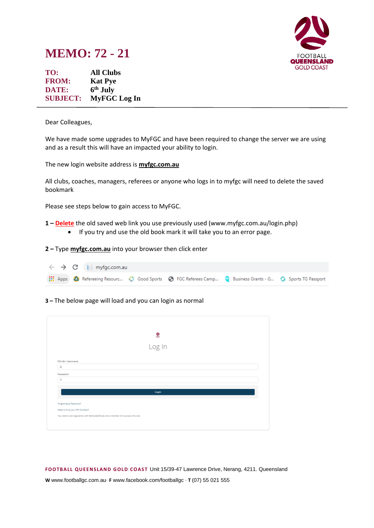

## **MEMO: 72 - 21**

**TO: All Clubs FROM: Kat Pye DATE: 6 th July SUBJECT: MyFGC Log In**

Dear Colleagues,

We have made some upgrades to MyFGC and have been required to change the server we are using and as a result this will have an impacted your ability to login.

The new login website address is **myfgc.com.au**

All clubs, coaches, managers, referees or anyone who logs in to myfgc will need to delete the saved bookmark

Please see steps below to gain access to MyFGC.

**1 – Delete** the old saved web link you use previously used (www.myfgc.com.au/login.php)

• If you try and use the old book mark it will take you to an error page.

**2 –** Type **myfgc.com.au** into your browser then click enter

|  | $\leftarrow$ $\rightarrow$ C     myfgc.com.au |                                                                                                            |  |
|--|-----------------------------------------------|------------------------------------------------------------------------------------------------------------|--|
|  |                                               | Apps   2 Refereeing Resourc ( Good Sports   G FGC Referees Camp Q Business Grants - G G Sports TG Passport |  |

## **3 –** The below page will load and you can login as normal

|                               | 은                                                                                  |  |
|-------------------------------|------------------------------------------------------------------------------------|--|
|                               |                                                                                    |  |
|                               | Log In                                                                             |  |
|                               |                                                                                    |  |
| FFA ID / Username             |                                                                                    |  |
| $\triangle$                   |                                                                                    |  |
| Password                      |                                                                                    |  |
| $\triangleq$                  |                                                                                    |  |
|                               |                                                                                    |  |
|                               | Login                                                                              |  |
|                               |                                                                                    |  |
| Forgot/Issue Password?        |                                                                                    |  |
| Need to find your FFA Number? |                                                                                    |  |
|                               | You need to be registered with MyFootballClub and a member of to access this site. |  |
|                               |                                                                                    |  |

**FOOTB ALL QUEEN SLAND G OLD COAST** Unit 15/39-47 Lawrence Drive, Nerang, 4211. Queensland

**W** www.footballgc.com.au. **F** www.facebook.com/footballgc . **T** (07) 55 021 555